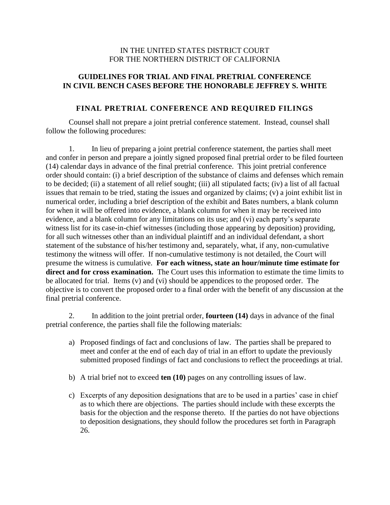## IN THE UNITED STATES DISTRICT COURT FOR THE NORTHERN DISTRICT OF CALIFORNIA

# **GUIDELINES FOR TRIAL AND FINAL PRETRIAL CONFERENCE IN CIVIL BENCH CASES BEFORE THE HONORABLE JEFFREY S. WHITE**

### **FINAL PRETRIAL CONFERENCE AND REQUIRED FILINGS**

Counsel shall not prepare a joint pretrial conference statement. Instead, counsel shall follow the following procedures:

1. In lieu of preparing a joint pretrial conference statement, the parties shall meet and confer in person and prepare a jointly signed proposed final pretrial order to be filed fourteen (14) calendar days in advance of the final pretrial conference. This joint pretrial conference order should contain: (i) a brief description of the substance of claims and defenses which remain to be decided; (ii) a statement of all relief sought; (iii) all stipulated facts; (iv) a list of all factual issues that remain to be tried, stating the issues and organized by claims; (v) a joint exhibit list in numerical order, including a brief description of the exhibit and Bates numbers, a blank column for when it will be offered into evidence, a blank column for when it may be received into evidence, and a blank column for any limitations on its use; and (vi) each party's separate witness list for its case-in-chief witnesses (including those appearing by deposition) providing, for all such witnesses other than an individual plaintiff and an individual defendant, a short statement of the substance of his/her testimony and, separately, what, if any, non-cumulative testimony the witness will offer. If non-cumulative testimony is not detailed, the Court will presume the witness is cumulative. **For each witness, state an hour/minute time estimate for direct and for cross examination.** The Court uses this information to estimate the time limits to be allocated for trial. Items (v) and (vi) should be appendices to the proposed order. The objective is to convert the proposed order to a final order with the benefit of any discussion at the final pretrial conference.

2. In addition to the joint pretrial order, **fourteen (14)** days in advance of the final pretrial conference, the parties shall file the following materials:

- a) Proposed findings of fact and conclusions of law. The parties shall be prepared to meet and confer at the end of each day of trial in an effort to update the previously submitted proposed findings of fact and conclusions to reflect the proceedings at trial.
- b) A trial brief not to exceed **ten (10)** pages on any controlling issues of law.
- c) Excerpts of any deposition designations that are to be used in a parties' case in chief as to which there are objections. The parties should include with these excerpts the basis for the objection and the response thereto. If the parties do not have objections to deposition designations, they should follow the procedures set forth in Paragraph 26.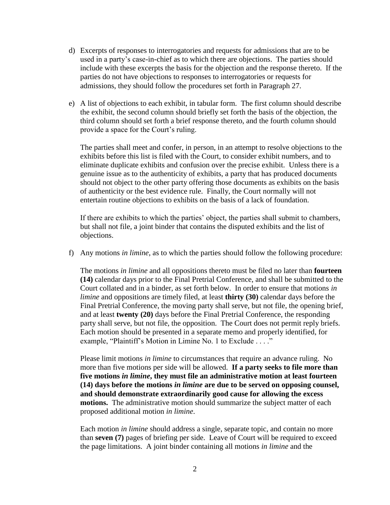- d) Excerpts of responses to interrogatories and requests for admissions that are to be used in a party's case-in-chief as to which there are objections. The parties should include with these excerpts the basis for the objection and the response thereto. If the parties do not have objections to responses to interrogatories or requests for admissions, they should follow the procedures set forth in Paragraph 27.
- e) A list of objections to each exhibit, in tabular form. The first column should describe the exhibit, the second column should briefly set forth the basis of the objection, the third column should set forth a brief response thereto, and the fourth column should provide a space for the Court's ruling.

The parties shall meet and confer, in person, in an attempt to resolve objections to the exhibits before this list is filed with the Court, to consider exhibit numbers, and to eliminate duplicate exhibits and confusion over the precise exhibit. Unless there is a genuine issue as to the authenticity of exhibits, a party that has produced documents should not object to the other party offering those documents as exhibits on the basis of authenticity or the best evidence rule. Finally, the Court normally will not entertain routine objections to exhibits on the basis of a lack of foundation.

If there are exhibits to which the parties' object, the parties shall submit to chambers, but shall not file, a joint binder that contains the disputed exhibits and the list of objections.

f) Any motions *in limine*, as to which the parties should follow the following procedure:

The motions *in limine* and all oppositions thereto must be filed no later than **fourteen (14)** calendar days prior to the Final Pretrial Conference, and shall be submitted to the Court collated and in a binder, as set forth below. In order to ensure that motions *in limine* and oppositions are timely filed, at least **thirty (30)** calendar days before the Final Pretrial Conference, the moving party shall serve, but not file, the opening brief, and at least **twenty (20)** days before the Final Pretrial Conference, the responding party shall serve, but not file, the opposition. The Court does not permit reply briefs. Each motion should be presented in a separate memo and properly identified, for example, "Plaintiff's Motion in Limine No. 1 to Exclude . . . ."

Please limit motions *in limine* to circumstances that require an advance ruling. No more than five motions per side will be allowed. **If a party seeks to file more than five motions** *in limine***, they must file an administrative motion at least fourteen (14) days before the motions** *in limine* **are due to be served on opposing counsel, and should demonstrate extraordinarily good cause for allowing the excess motions.** The administrative motion should summarize the subject matter of each proposed additional motion *in limine*.

Each motion *in limine* should address a single, separate topic, and contain no more than **seven (7)** pages of briefing per side. Leave of Court will be required to exceed the page limitations. A joint binder containing all motions *in limine* and the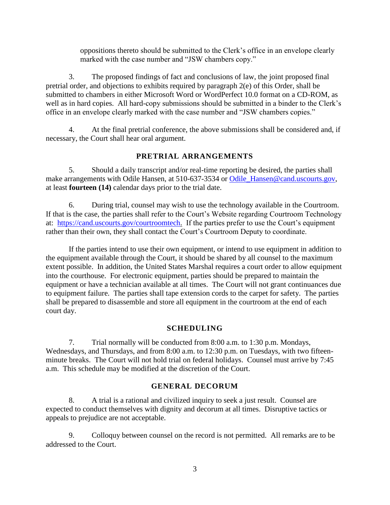oppositions thereto should be submitted to the Clerk's office in an envelope clearly marked with the case number and "JSW chambers copy."

3. The proposed findings of fact and conclusions of law, the joint proposed final pretrial order, and objections to exhibits required by paragraph 2(e) of this Order, shall be submitted to chambers in either Microsoft Word or WordPerfect 10.0 format on a CD-ROM, as well as in hard copies. All hard-copy submissions should be submitted in a binder to the Clerk's office in an envelope clearly marked with the case number and "JSW chambers copies."

4. At the final pretrial conference, the above submissions shall be considered and, if necessary, the Court shall hear oral argument.

# **PRETRIAL ARRANGEMENTS**

5. Should a daily transcript and/or real-time reporting be desired, the parties shall make arrangements with Odile Hansen, at 510-637-3534 or [Odile\\_Hansen@cand.uscourts.gov,](mailto:Odile_Hansen@cand.uscourts.gov) at least **fourteen (14)** calendar days prior to the trial date.

6. During trial, counsel may wish to use the technology available in the Courtroom. If that is the case, the parties shall refer to the Court's Website regarding Courtroom Technology at: [https://cand.uscourts.gov/courtroomtech.](https://cand.uscourts.gov/courtroomtech) If the parties prefer to use the Court's equipment rather than their own, they shall contact the Court's Courtroom Deputy to coordinate.

If the parties intend to use their own equipment, or intend to use equipment in addition to the equipment available through the Court, it should be shared by all counsel to the maximum extent possible. In addition, the United States Marshal requires a court order to allow equipment into the courthouse. For electronic equipment, parties should be prepared to maintain the equipment or have a technician available at all times. The Court will not grant continuances due to equipment failure. The parties shall tape extension cords to the carpet for safety. The parties shall be prepared to disassemble and store all equipment in the courtroom at the end of each court day.

# **SCHEDULING**

7. Trial normally will be conducted from 8:00 a.m. to 1:30 p.m. Mondays, Wednesdays, and Thursdays, and from 8:00 a.m. to 12:30 p.m. on Tuesdays, with two fifteenminute breaks. The Court will not hold trial on federal holidays. Counsel must arrive by 7:45 a.m. This schedule may be modified at the discretion of the Court.

# **GENERAL DECORUM**

8. A trial is a rational and civilized inquiry to seek a just result. Counsel are expected to conduct themselves with dignity and decorum at all times. Disruptive tactics or appeals to prejudice are not acceptable.

9. Colloquy between counsel on the record is not permitted. All remarks are to be addressed to the Court.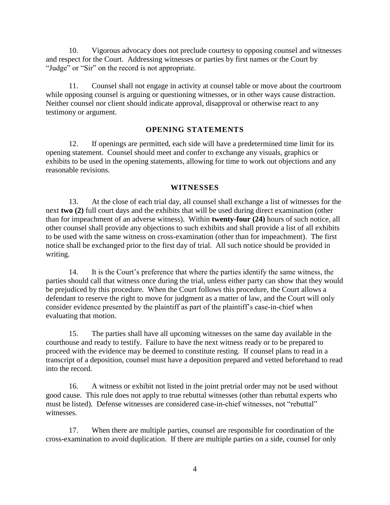10. Vigorous advocacy does not preclude courtesy to opposing counsel and witnesses and respect for the Court. Addressing witnesses or parties by first names or the Court by "Judge" or "Sir" on the record is not appropriate.

11. Counsel shall not engage in activity at counsel table or move about the courtroom while opposing counsel is arguing or questioning witnesses, or in other ways cause distraction. Neither counsel nor client should indicate approval, disapproval or otherwise react to any testimony or argument.

#### **OPENING STATEMENTS**

12. If openings are permitted, each side will have a predetermined time limit for its opening statement. Counsel should meet and confer to exchange any visuals, graphics or exhibits to be used in the opening statements, allowing for time to work out objections and any reasonable revisions.

#### **WITNESSES**

13. At the close of each trial day, all counsel shall exchange a list of witnesses for the next **two (2)** full court days and the exhibits that will be used during direct examination (other than for impeachment of an adverse witness). Within **twenty-four (24)** hours of such notice, all other counsel shall provide any objections to such exhibits and shall provide a list of all exhibits to be used with the same witness on cross-examination (other than for impeachment). The first notice shall be exchanged prior to the first day of trial. All such notice should be provided in writing.

14. It is the Court's preference that where the parties identify the same witness, the parties should call that witness once during the trial, unless either party can show that they would be prejudiced by this procedure. When the Court follows this procedure, the Court allows a defendant to reserve the right to move for judgment as a matter of law, and the Court will only consider evidence presented by the plaintiff as part of the plaintiff's case-in-chief when evaluating that motion.

15. The parties shall have all upcoming witnesses on the same day available in the courthouse and ready to testify. Failure to have the next witness ready or to be prepared to proceed with the evidence may be deemed to constitute resting. If counsel plans to read in a transcript of a deposition, counsel must have a deposition prepared and vetted beforehand to read into the record.

16. A witness or exhibit not listed in the joint pretrial order may not be used without good cause. This rule does not apply to true rebuttal witnesses (other than rebuttal experts who must be listed). Defense witnesses are considered case-in-chief witnesses, not "rebuttal" witnesses.

17. When there are multiple parties, counsel are responsible for coordination of the cross-examination to avoid duplication. If there are multiple parties on a side, counsel for only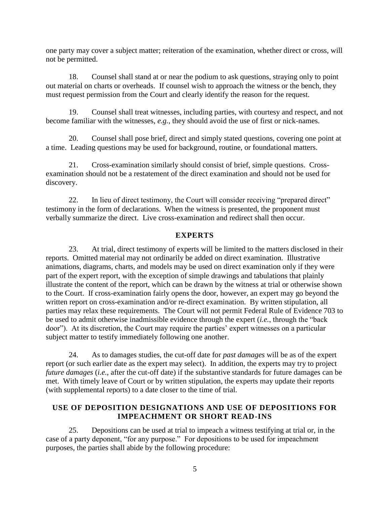one party may cover a subject matter; reiteration of the examination, whether direct or cross, will not be permitted.

18. Counsel shall stand at or near the podium to ask questions, straying only to point out material on charts or overheads. If counsel wish to approach the witness or the bench, they must request permission from the Court and clearly identify the reason for the request.

19. Counsel shall treat witnesses, including parties, with courtesy and respect, and not become familiar with the witnesses, *e.g.*, they should avoid the use of first or nick-names.

20. Counsel shall pose brief, direct and simply stated questions, covering one point at a time. Leading questions may be used for background, routine, or foundational matters.

21. Cross-examination similarly should consist of brief, simple questions. Crossexamination should not be a restatement of the direct examination and should not be used for discovery.

22. In lieu of direct testimony, the Court will consider receiving "prepared direct" testimony in the form of declarations. When the witness is presented, the proponent must verbally summarize the direct. Live cross-examination and redirect shall then occur.

# **EXPERTS**

23. At trial, direct testimony of experts will be limited to the matters disclosed in their reports. Omitted material may not ordinarily be added on direct examination. Illustrative animations, diagrams, charts, and models may be used on direct examination only if they were part of the expert report, with the exception of simple drawings and tabulations that plainly illustrate the content of the report, which can be drawn by the witness at trial or otherwise shown to the Court. If cross-examination fairly opens the door, however, an expert may go beyond the written report on cross-examination and/or re-direct examination. By written stipulation, all parties may relax these requirements. The Court will not permit Federal Rule of Evidence 703 to be used to admit otherwise inadmissible evidence through the expert (*i.e.*, through the "back door"). At its discretion, the Court may require the parties' expert witnesses on a particular subject matter to testify immediately following one another.

24. As to damages studies, the cut-off date for *past damages* will be as of the expert report (or such earlier date as the expert may select). In addition, the experts may try to project *future damages* (*i.e.*, after the cut-off date) if the substantive standards for future damages can be met. With timely leave of Court or by written stipulation, the experts may update their reports (with supplemental reports) to a date closer to the time of trial.

# **USE OF DEPOSITION DESIGNATIONS AND USE OF DEPOSITIONS FOR IMPEACHMENT OR SHORT READ-INS**

25. Depositions can be used at trial to impeach a witness testifying at trial or, in the case of a party deponent, "for any purpose." For depositions to be used for impeachment purposes, the parties shall abide by the following procedure: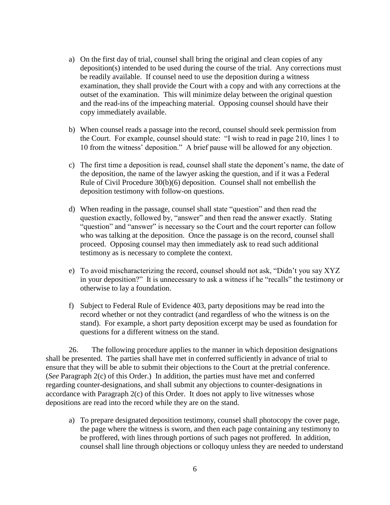- a) On the first day of trial, counsel shall bring the original and clean copies of any deposition(s) intended to be used during the course of the trial. Any corrections must be readily available. If counsel need to use the deposition during a witness examination, they shall provide the Court with a copy and with any corrections at the outset of the examination. This will minimize delay between the original question and the read-ins of the impeaching material. Opposing counsel should have their copy immediately available.
- b) When counsel reads a passage into the record, counsel should seek permission from the Court. For example, counsel should state: "I wish to read in page 210, lines 1 to 10 from the witness' deposition." A brief pause will be allowed for any objection.
- c) The first time a deposition is read, counsel shall state the deponent's name, the date of the deposition, the name of the lawyer asking the question, and if it was a Federal Rule of Civil Procedure 30(b)(6) deposition. Counsel shall not embellish the deposition testimony with follow-on questions.
- d) When reading in the passage, counsel shall state "question" and then read the question exactly, followed by, "answer" and then read the answer exactly. Stating "question" and "answer" is necessary so the Court and the court reporter can follow who was talking at the deposition. Once the passage is on the record, counsel shall proceed. Opposing counsel may then immediately ask to read such additional testimony as is necessary to complete the context.
- e) To avoid mischaracterizing the record, counsel should not ask, "Didn't you say XYZ in your deposition?" It is unnecessary to ask a witness if he "recalls" the testimony or otherwise to lay a foundation.
- f) Subject to Federal Rule of Evidence 403, party depositions may be read into the record whether or not they contradict (and regardless of who the witness is on the stand). For example, a short party deposition excerpt may be used as foundation for questions for a different witness on the stand.

26. The following procedure applies to the manner in which deposition designations shall be presented. The parties shall have met in conferred sufficiently in advance of trial to ensure that they will be able to submit their objections to the Court at the pretrial conference. (*See* Paragraph 2(c) of this Order.) In addition, the parties must have met and conferred regarding counter-designations, and shall submit any objections to counter-designations in accordance with Paragraph 2(c) of this Order. It does not apply to live witnesses whose depositions are read into the record while they are on the stand.

a) To prepare designated deposition testimony, counsel shall photocopy the cover page, the page where the witness is sworn, and then each page containing any testimony to be proffered, with lines through portions of such pages not proffered. In addition, counsel shall line through objections or colloquy unless they are needed to understand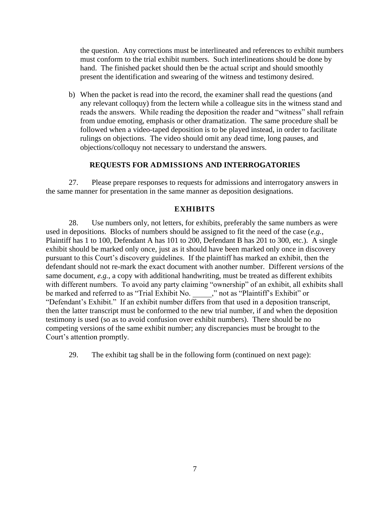the question. Any corrections must be interlineated and references to exhibit numbers must conform to the trial exhibit numbers. Such interlineations should be done by hand. The finished packet should then be the actual script and should smoothly present the identification and swearing of the witness and testimony desired.

b) When the packet is read into the record, the examiner shall read the questions (and any relevant colloquy) from the lectern while a colleague sits in the witness stand and reads the answers. While reading the deposition the reader and "witness" shall refrain from undue emoting, emphasis or other dramatization. The same procedure shall be followed when a video-taped deposition is to be played instead, in order to facilitate rulings on objections. The video should omit any dead time, long pauses, and objections/colloquy not necessary to understand the answers.

## **REQUESTS FOR ADMISSIONS AND INTERROGATORIES**

27. Please prepare responses to requests for admissions and interrogatory answers in the same manner for presentation in the same manner as deposition designations.

#### **EXHIBITS**

28. Use numbers only, not letters, for exhibits, preferably the same numbers as were used in depositions. Blocks of numbers should be assigned to fit the need of the case (*e.g.*, Plaintiff has 1 to 100, Defendant A has 101 to 200, Defendant B has 201 to 300, etc.). A single exhibit should be marked only once, just as it should have been marked only once in discovery pursuant to this Court's discovery guidelines. If the plaintiff has marked an exhibit, then the defendant should not re-mark the exact document with another number. Different *versions* of the same document, *e.g.*, a copy with additional handwriting, must be treated as different exhibits with different numbers. To avoid any party claiming "ownership" of an exhibit, all exhibits shall be marked and referred to as "Trial Exhibit No.  $\overline{\phantom{a}}$ ," not as "Plaintiff's Exhibit" or "Defendant's Exhibit." If an exhibit number differs from that used in a deposition transcript, then the latter transcript must be conformed to the new trial number, if and when the deposition testimony is used (so as to avoid confusion over exhibit numbers). There should be no competing versions of the same exhibit number; any discrepancies must be brought to the Court's attention promptly.

29. The exhibit tag shall be in the following form (continued on next page):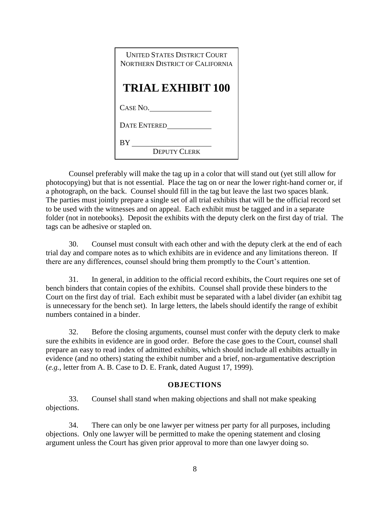| <b>LINITED STATES DISTRICT COURT</b><br>NORTHERN DISTRICT OF CALIFORNIA |
|-------------------------------------------------------------------------|
| <b>TRIAL EXHIBIT 100</b>                                                |
| CASE NO.                                                                |
| <b>DATE ENTERED</b>                                                     |
| BY                                                                      |
| <b>DEPUTY CLERK</b>                                                     |

Counsel preferably will make the tag up in a color that will stand out (yet still allow for photocopying) but that is not essential. Place the tag on or near the lower right-hand corner or, if a photograph, on the back. Counsel should fill in the tag but leave the last two spaces blank. The parties must jointly prepare a single set of all trial exhibits that will be the official record set to be used with the witnesses and on appeal. Each exhibit must be tagged and in a separate folder (not in notebooks). Deposit the exhibits with the deputy clerk on the first day of trial. The tags can be adhesive or stapled on.

30. Counsel must consult with each other and with the deputy clerk at the end of each trial day and compare notes as to which exhibits are in evidence and any limitations thereon. If there are any differences, counsel should bring them promptly to the Court's attention.

31. In general, in addition to the official record exhibits, the Court requires one set of bench binders that contain copies of the exhibits. Counsel shall provide these binders to the Court on the first day of trial. Each exhibit must be separated with a label divider (an exhibit tag is unnecessary for the bench set). In large letters, the labels should identify the range of exhibit numbers contained in a binder.

32. Before the closing arguments, counsel must confer with the deputy clerk to make sure the exhibits in evidence are in good order. Before the case goes to the Court, counsel shall prepare an easy to read index of admitted exhibits, which should include all exhibits actually in evidence (and no others) stating the exhibit number and a brief, non-argumentative description (*e.g.*, letter from A. B. Case to D. E. Frank, dated August 17, 1999).

#### **OBJECTIONS**

33. Counsel shall stand when making objections and shall not make speaking objections.

34. There can only be one lawyer per witness per party for all purposes, including objections. Only one lawyer will be permitted to make the opening statement and closing argument unless the Court has given prior approval to more than one lawyer doing so.